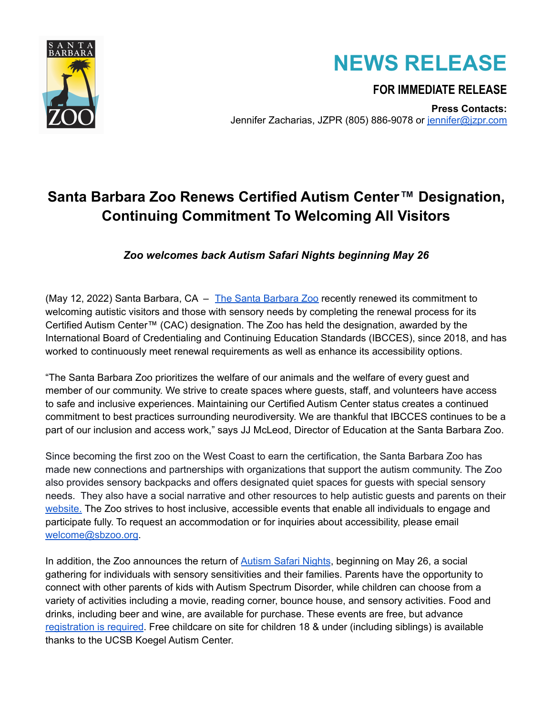

## **NEWS RELEASE**

**FOR IMMEDIATE RELEASE**

**Press Contacts:** Jennifer Zacharias, JZPR (805) 886-9078 or [jennifer@jzpr.com](mailto:jennifer@jzpr.com)

## **Santa Barbara Zoo Renews Certified Autism Center™ Designation, Continuing Commitment To Welcoming All Visitors**

*Zoo welcomes back Autism Safari Nights beginning May 26*

(May 12, 2022) Santa [Barbara](https://www.sbzoo.org/),  $CA - The Santa Barbara Zoo$  recently renewed its commitment to welcoming autistic visitors and those with sensory needs by completing the renewal process for its Certified Autism Center™ (CAC) designation. The Zoo has held the designation, awarded by the International Board of Credentialing and Continuing Education Standards (IBCCES), since 2018, and has worked to continuously meet renewal requirements as well as enhance its accessibility options.

"The Santa Barbara Zoo prioritizes the welfare of our animals and the welfare of every guest and member of our community. We strive to create spaces where guests, staff, and volunteers have access to safe and inclusive experiences. Maintaining our Certified Autism Center status creates a continued commitment to best practices surrounding neurodiversity. We are thankful that IBCCES continues to be a part of our inclusion and access work," says JJ McLeod, Director of Education at the Santa Barbara Zoo.

Since becoming the first zoo on the West Coast to earn the certification, the Santa Barbara Zoo has made new connections and partnerships with organizations that support the autism community. The Zoo also provides sensory backpacks and offers designated quiet spaces for guests with special sensory needs. They also have a social narrative and other resources to help autistic guests and parents on their website. The Zoo strives to host inclusive, accessible events that enable all individuals to engage and participate fully. To request an accommodation or for inquiries about accessibility, please email [welcome@sbzoo.org](mailto:welcome@sbzoo.org).

In addition, the Zoo announces the return of [Autism](https://www.sbzoo.org/event/autism-safari-nights/) Safari Nights, beginning on May 26, a social gathering for individuals with sensory sensitivities and their families. Parents have the opportunity to connect with other parents of kids with Autism Spectrum Disorder, while children can choose from a variety of activities including a movie, reading corner, bounce house, and sensory activities. Food and drinks, including beer and wine, are available for purchase. These events are free, but advance [registration](https://reservations.sbzoo.org/Info.aspx?EventID=34) is required. Free childcare on site for children 18 & under (including siblings) is available thanks to the UCSB Koegel Autism Center.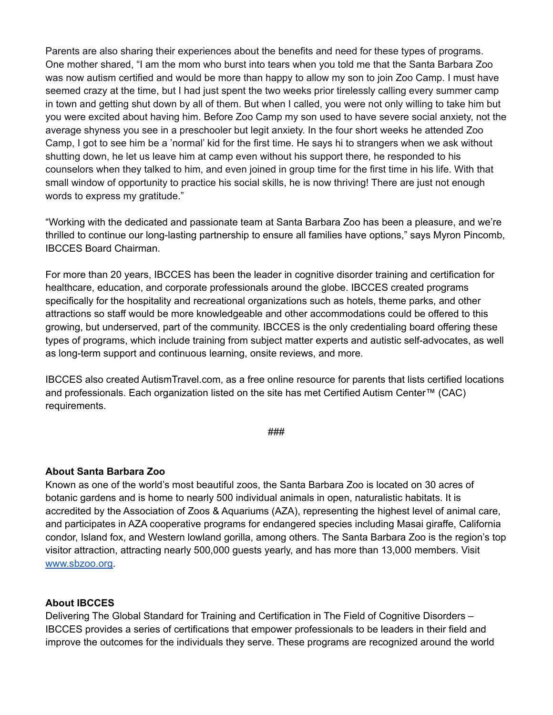Parents are also sharing their experiences about the benefits and need for these types of programs. One mother shared, "I am the mom who burst into tears when you told me that the Santa Barbara Zoo was now autism certified and would be more than happy to allow my son to join Zoo Camp. I must have seemed crazy at the time, but I had just spent the two weeks prior tirelessly calling every summer camp in town and getting shut down by all of them. But when I called, you were not only willing to take him but you were excited about having him. Before Zoo Camp my son used to have severe social anxiety, not the average shyness you see in a preschooler but legit anxiety. In the four short weeks he attended Zoo Camp, I got to see him be a 'normal' kid for the first time. He says hi to strangers when we ask without shutting down, he let us leave him at camp even without his support there, he responded to his counselors when they talked to him, and even joined in group time for the first time in his life. With that small window of opportunity to practice his social skills, he is now thriving! There are just not enough words to express my gratitude."

"Working with the dedicated and passionate team at Santa Barbara Zoo has been a pleasure, and we're thrilled to continue our long-lasting partnership to ensure all families have options," says Myron Pincomb, IBCCES Board Chairman.

For more than 20 years, IBCCES has been the leader in cognitive disorder training and certification for healthcare, education, and corporate professionals around the globe. IBCCES created programs specifically for the hospitality and recreational organizations such as hotels, theme parks, and other attractions so staff would be more knowledgeable and other accommodations could be offered to this growing, but underserved, part of the community. IBCCES is the only credentialing board offering these types of programs, which include training from subject matter experts and autistic self-advocates, as well as long-term support and continuous learning, onsite reviews, and more.

IBCCES also created AutismTravel.com, as a free online resource for parents that lists certified locations and professionals. Each organization listed on the site has met Certified Autism Center™ (CAC) requirements.

###

## **About Santa Barbara Zoo**

Known as one of the world's most beautiful zoos, the Santa Barbara Zoo is located on 30 acres of botanic gardens and is home to nearly 500 individual animals in open, naturalistic habitats. It is accredited by the Association of Zoos & Aquariums (AZA), representing the highest level of animal care, and participates in AZA cooperative programs for endangered species including Masai giraffe, California condor, Island fox, and Western lowland gorilla, among others. The Santa Barbara Zoo is the region's top visitor attraction, attracting nearly 500,000 guests yearly, and has more than 13,000 members. Visit www.sbzoo.org.

## **About IBCCES**

Delivering The Global Standard for Training and Certification in The Field of Cognitive Disorders – IBCCES provides a series of certifications that empower professionals to be leaders in their field and improve the outcomes for the individuals they serve. These programs are recognized around the world